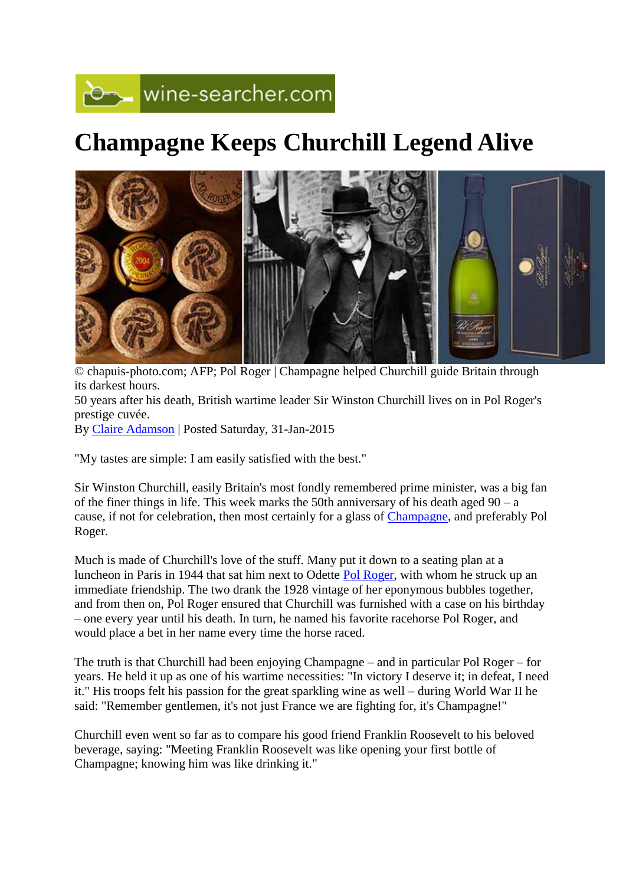## wine-searcher.com

## **Champagne Keeps Churchill Legend Alive**



© chapuis-photo.com; AFP; Pol Roger | Champagne helped Churchill guide Britain through its darkest hours. 50 years after his death, British wartime leader Sir Winston Churchill lives on in Pol Roger's prestige cuvée. By [Claire Adamson](http://www.wine-searcher.com/bios.lml) | Posted Saturday, 31-Jan-2015

"My tastes are simple: I am easily satisfied with the best."

Sir Winston Churchill, easily Britain's most fondly remembered prime minister, was a big fan of the finer things in life. This week marks the 50th anniversary of his death aged 90 – a cause, if not for celebration, then most certainly for a glass of [Champagne,](http://www.wine-searcher.com/regions-champagne) and preferably Pol Roger.

Much is made of Churchill's love of the stuff. Many put it down to a seating plan at a luncheon in Paris in 1944 that sat him next to Odette [Pol Roger,](http://www.wine-searcher.com/find/pol+roger) with whom he struck up an immediate friendship. The two drank the 1928 vintage of her eponymous bubbles together, and from then on, Pol Roger ensured that Churchill was furnished with a case on his birthday – one every year until his death. In turn, he named his favorite racehorse Pol Roger, and would place a bet in her name every time the horse raced.

The truth is that Churchill had been enjoying Champagne – and in particular Pol Roger – for years. He held it up as one of his wartime necessities: "In victory I deserve it; in defeat, I need it." His troops felt his passion for the great sparkling wine as well – during World War II he said: "Remember gentlemen, it's not just France we are fighting for, it's Champagne!"

Churchill even went so far as to compare his good friend Franklin Roosevelt to his beloved beverage, saying: "Meeting Franklin Roosevelt was like opening your first bottle of Champagne; knowing him was like drinking it."